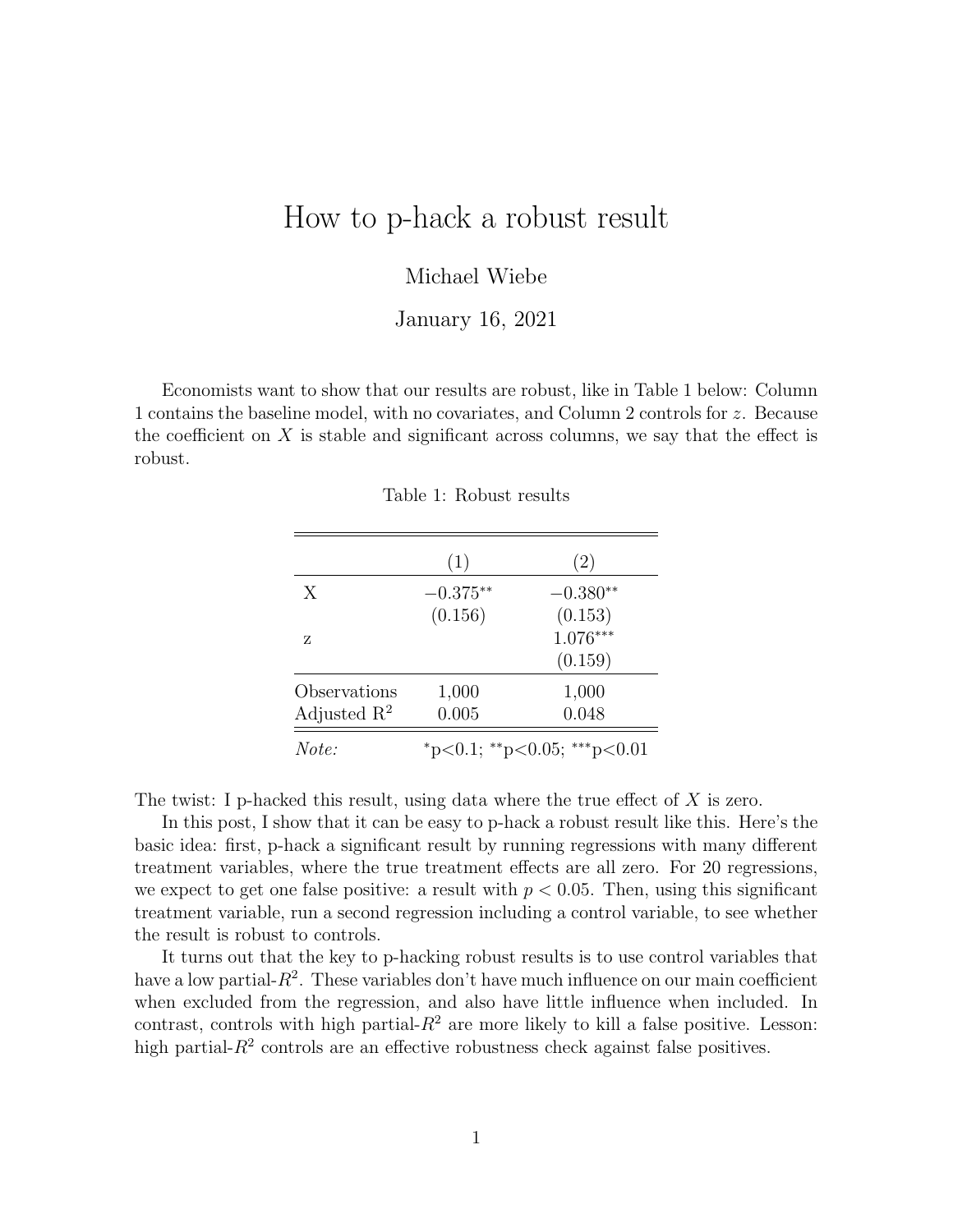# How to p-hack a robust result

### Michael Wiebe

#### January 16, 2021

Economists want to show that our results are robust, like in Table 1 below: Column 1 contains the baseline model, with no covariates, and Column 2 controls for z. Because the coefficient on  $X$  is stable and significant across columns, we say that the effect is robust.

|                         | (1)                         | (2)        |
|-------------------------|-----------------------------|------------|
| X                       | $-0.375**$                  | $-0.380**$ |
|                         | (0.156)                     | (0.153)    |
| Z                       |                             | $1.076***$ |
|                         |                             | (0.159)    |
| Observations            | 1,000                       | 1,000      |
| Adjusted $\mathbb{R}^2$ | 0.005                       | 0.048      |
| Note:                   | *p<0.1; **p<0.05; ***p<0.01 |            |

Table 1: Robust results

The twist: I p-hacked this result, using data where the true effect of  $X$  is zero.

In this post, I show that it can be easy to p-hack a robust result like this. Here's the basic idea: first, p-hack a significant result by running regressions with many different treatment variables, where the true treatment effects are all zero. For 20 regressions, we expect to get one false positive: a result with  $p < 0.05$ . Then, using this significant treatment variable, run a second regression including a control variable, to see whether the result is robust to controls.

It turns out that the key to p-hacking robust results is to use control variables that have a low partial- $R^2$ . These variables don't have much influence on our main coefficient when excluded from the regression, and also have little influence when included. In contrast, controls with high partial- $R^2$  are more likely to kill a false positive. Lesson: high partial- $R<sup>2</sup>$  controls are an effective robustness check against false positives.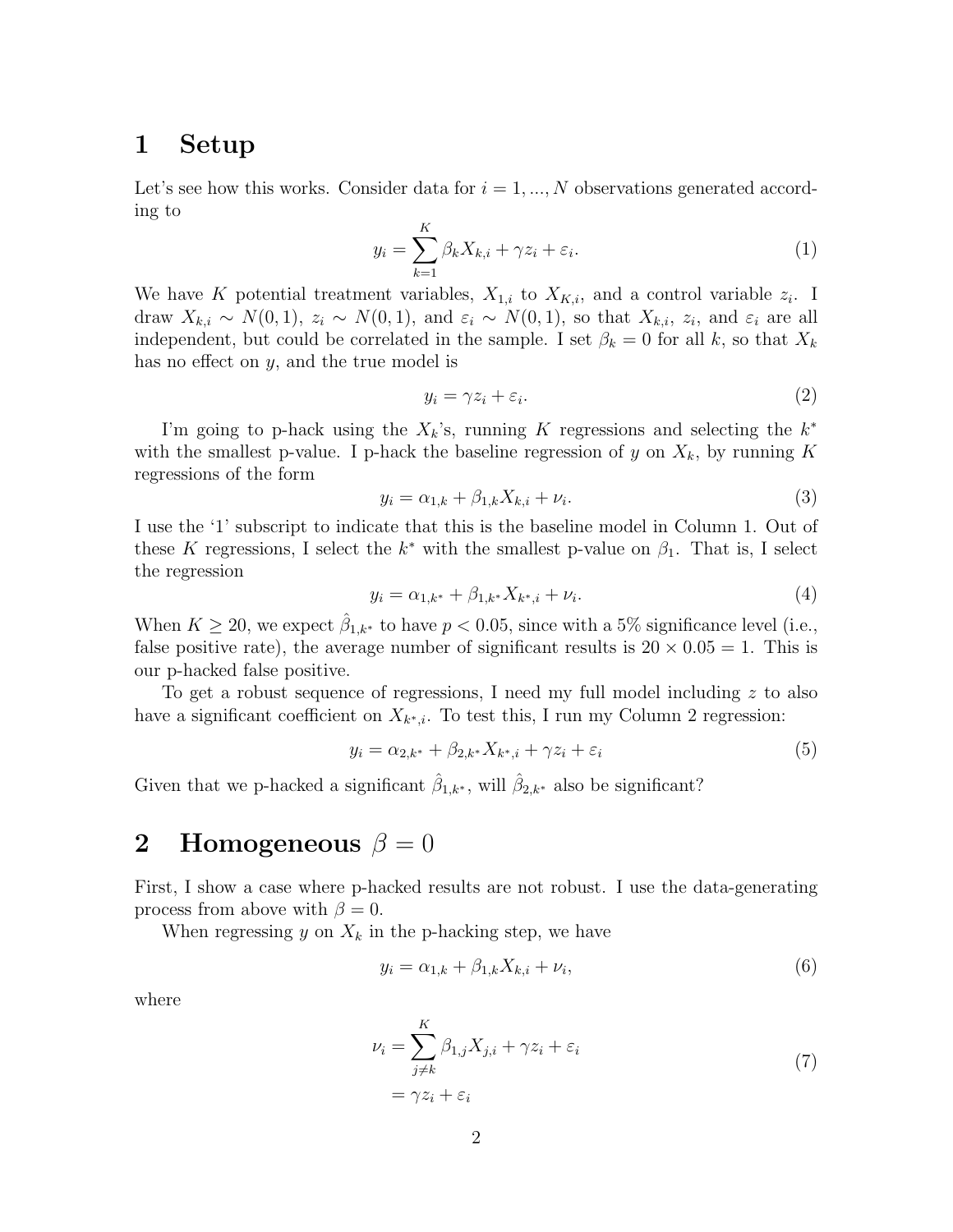### 1 Setup

Let's see how this works. Consider data for  $i = 1, ..., N$  observations generated according to

$$
y_i = \sum_{k=1}^{K} \beta_k X_{k,i} + \gamma z_i + \varepsilon_i.
$$
 (1)

We have K potential treatment variables,  $X_{1,i}$  to  $X_{K,i}$ , and a control variable  $z_i$ . I draw  $X_{k,i} \sim N(0,1)$ ,  $z_i \sim N(0,1)$ , and  $\varepsilon_i \sim N(0,1)$ , so that  $X_{k,i}$ ,  $z_i$ , and  $\varepsilon_i$  are all independent, but could be correlated in the sample. I set  $\beta_k = 0$  for all k, so that  $X_k$ has no effect on y, and the true model is

$$
y_i = \gamma z_i + \varepsilon_i. \tag{2}
$$

I'm going to p-hack using the  $X_k$ 's, running K regressions and selecting the  $k^*$ with the smallest p-value. I p-hack the baseline regression of y on  $X_k$ , by running K regressions of the form

$$
y_i = \alpha_{1,k} + \beta_{1,k} X_{k,i} + \nu_i.
$$
 (3)

I use the '1' subscript to indicate that this is the baseline model in Column 1. Out of these K regressions, I select the  $k^*$  with the smallest p-value on  $\beta_1$ . That is, I select the regression

$$
y_i = \alpha_{1,k^*} + \beta_{1,k^*} X_{k^*,i} + \nu_i.
$$
\n<sup>(4)</sup>

When  $K \geq 20$ , we expect  $\hat{\beta}_{1,k^*}$  to have  $p < 0.05$ , since with a 5% significance level (i.e., false positive rate), the average number of significant results is  $20 \times 0.05 = 1$ . This is our p-hacked false positive.

To get a robust sequence of regressions, I need my full model including  $z$  to also have a significant coefficient on  $X_{k^*,i}$ . To test this, I run my Column 2 regression:

$$
y_i = \alpha_{2,k^*} + \beta_{2,k^*} X_{k^*,i} + \gamma z_i + \varepsilon_i \tag{5}
$$

Given that we p-hacked a significant  $\hat{\beta}_{1,k^*}$ , will  $\hat{\beta}_{2,k^*}$  also be significant?

## 2 Homogeneous  $\beta = 0$

First, I show a case where p-hacked results are not robust. I use the data-generating process from above with  $\beta = 0$ .

When regressing y on  $X_k$  in the p-hacking step, we have

$$
y_i = \alpha_{1,k} + \beta_{1,k} X_{k,i} + \nu_i,
$$
\n(6)

where

$$
\nu_i = \sum_{j \neq k}^{K} \beta_{1,j} X_{j,i} + \gamma z_i + \varepsilon_i
$$
  
=  $\gamma z_i + \varepsilon_i$  (7)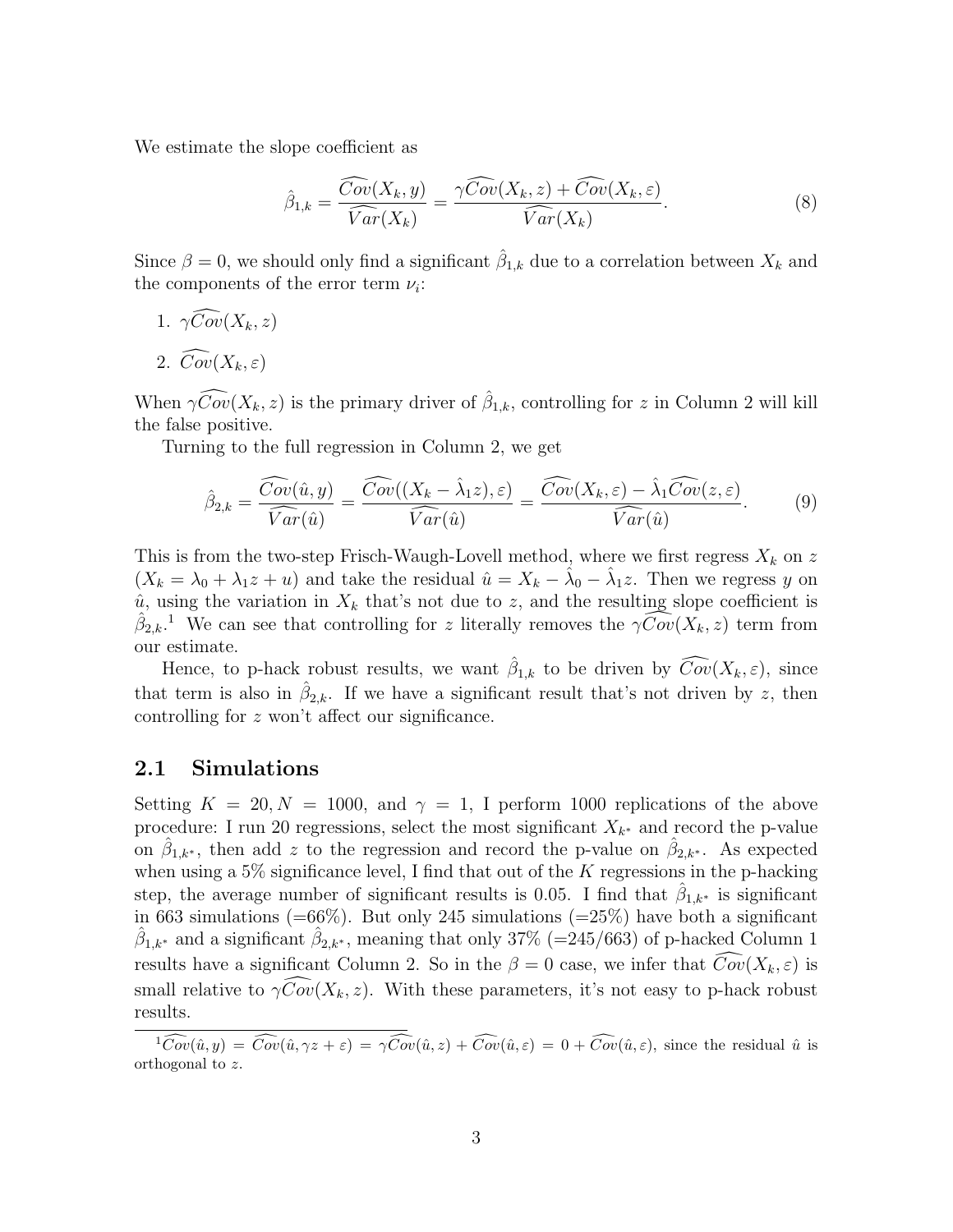We estimate the slope coefficient as

$$
\hat{\beta}_{1,k} = \frac{\widehat{Cov}(X_k, y)}{\widehat{Var}(X_k)} = \frac{\gamma \widehat{Cov}(X_k, z) + \widehat{Cov}(X_k, \varepsilon)}{\widehat{Var}(X_k)}.
$$
\n(8)

Since  $\beta = 0$ , we should only find a significant  $\hat{\beta}_{1,k}$  due to a correlation between  $X_k$  and the components of the error term  $\nu_i$ :

- 1.  $\gamma \widehat{Cov}(X_k, z)$
- 2.  $\widehat{Cov}(X_k, \varepsilon)$

When  $\gamma \widehat{Cov}(X_k, z)$  is the primary driver of  $\widehat{\beta}_{1,k}$ , controlling for z in Column 2 will kill the false positive.

Turning to the full regression in Column 2, we get

$$
\hat{\beta}_{2,k} = \frac{\widehat{Cov}(\hat{u}, y)}{\widehat{Var}(\hat{u})} = \frac{\widehat{Cov}((X_k - \hat{\lambda}_1 z), \varepsilon)}{\widehat{Var}(\hat{u})} = \frac{\widehat{Cov}(X_k, \varepsilon) - \hat{\lambda}_1 \widehat{Cov}(z, \varepsilon)}{\widehat{Var}(\hat{u})}.
$$
(9)

This is from the two-step Frisch-Waugh-Lovell method, where we first regress  $X_k$  on z  $(X_k = \lambda_0 + \lambda_1 z + u)$  and take the residual  $\hat{u} = X_k - \hat{\lambda}_0 - \hat{\lambda}_1 z$ . Then we regress y on  $\hat{u}$ , using the variation in  $X_k$  that's not due to z, and the resulting slope coefficient is  $\hat{\beta}_{2,k}$ <sup>1</sup>. We can see that controlling for z literally removes the  $\gamma \widehat{Cov}(X_k, z)$  term from our estimate.

Hence, to p-hack robust results, we want  $\hat{\beta}_{1,k}$  to be driven by  $\widehat{Cov}(X_k, \varepsilon)$ , since that term is also in  $\hat{\beta}_{2,k}$ . If we have a significant result that's not driven by z, then controlling for z won't affect our significance.

### 2.1 Simulations

Setting  $K = 20, N = 1000$ , and  $\gamma = 1$ , I perform 1000 replications of the above procedure: I run 20 regressions, select the most significant  $X_{k^*}$  and record the p-value on  $\hat{\beta}_{1,k^*}$ , then add z to the regression and record the p-value on  $\hat{\beta}_{2,k^*}$ . As expected when using a  $5\%$  significance level, I find that out of the K regressions in the p-hacking step, the average number of significant results is 0.05. I find that  $\hat{\beta}_{1,k^*}$  is significant in 663 simulations  $(=66\%)$ . But only 245 simulations  $(=25\%)$  have both a significant  $\hat{\beta}_{1,k^*}$  and a significant  $\hat{\beta}_{2,k^*}$ , meaning that only 37% (=245/663) of p-hacked Column 1 results have a significant Column 2. So in the  $\beta = 0$  case, we infer that  $\widehat{Cov}(X_k, \varepsilon)$  is small relative to  $\gamma Cov(X_k, z)$ . With these parameters, it's not easy to p-hack robust results.

 $\widehat{1\text{Cov}(\hat{u},y)} = \widehat{\text{Cov}(\hat{u},\gamma z + \varepsilon)} = \widehat{\gamma\text{Cov}(\hat{u},z)} + \widehat{\text{Cov}(\hat{u},\varepsilon)} = 0 + \widehat{\text{Cov}(\hat{u},\varepsilon)}$ , since the residual  $\hat{u}$  is orthogonal to z.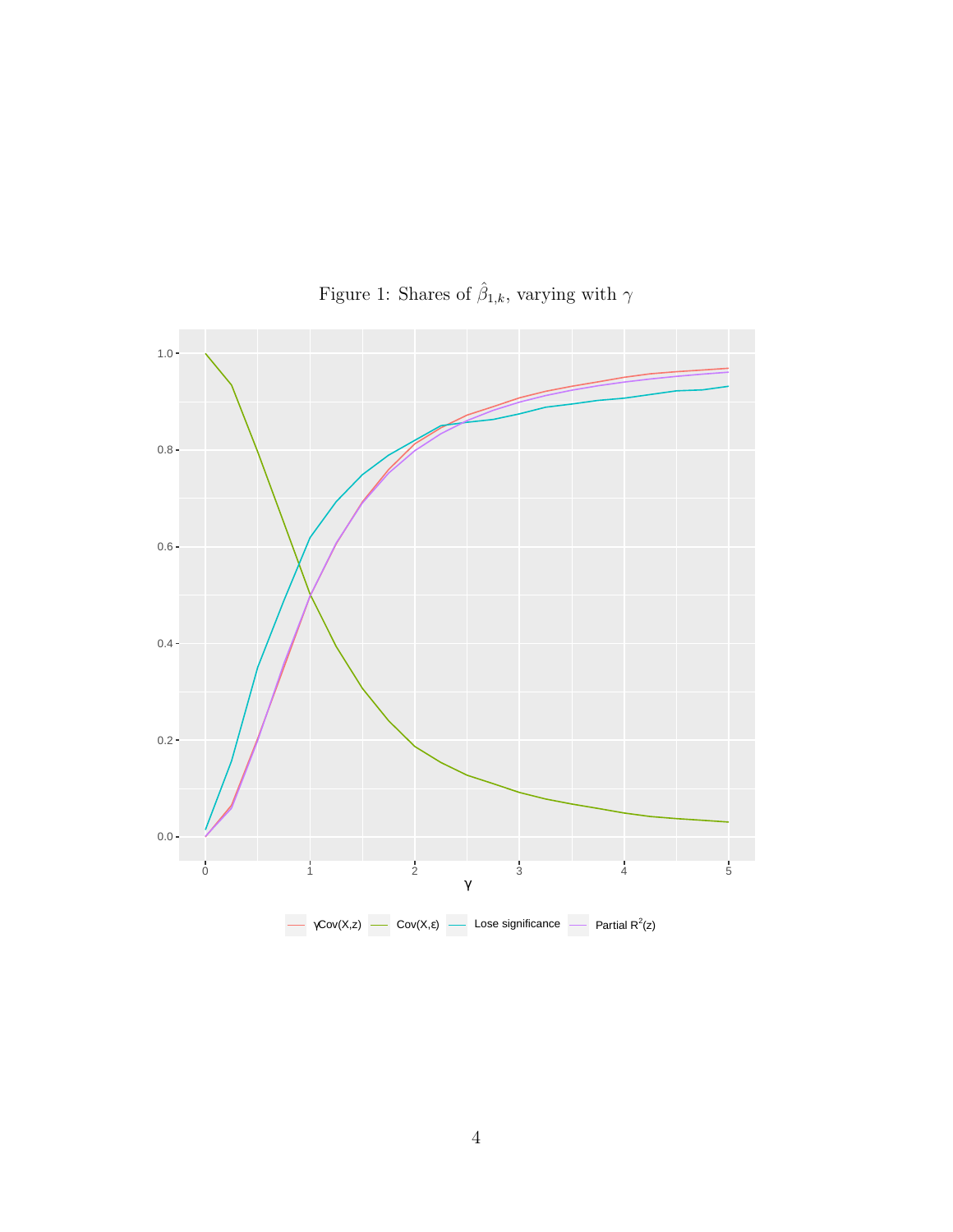

Figure 1: Shares of  $\hat{\beta}_{1,k}$ , varying with  $\gamma$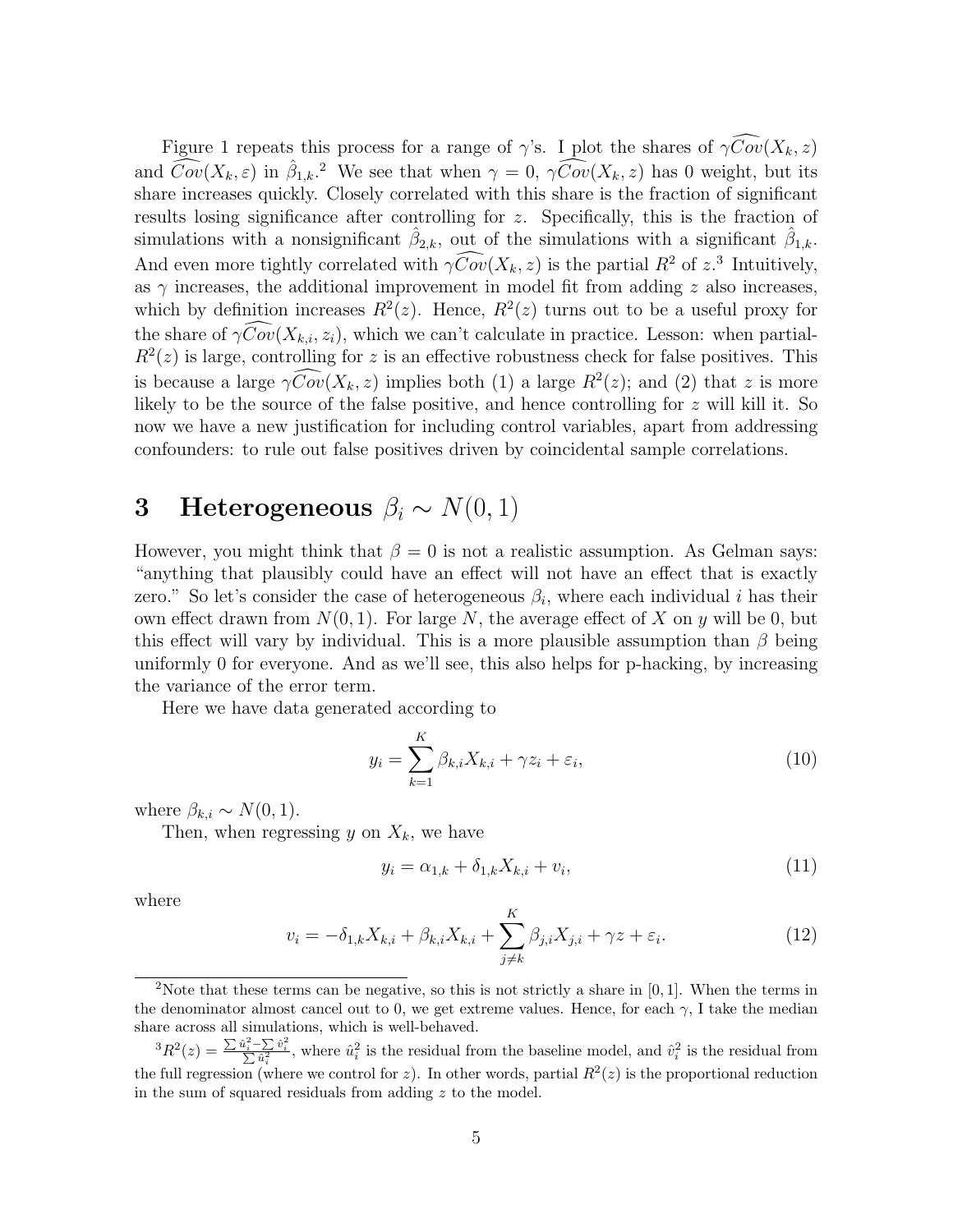Figure 1 repeats this process for a range of  $\gamma$ 's. I plot the shares of  $\gamma \widehat{Cov}(X_k, z)$ and  $\widehat{Cov}(X_k, \varepsilon)$  in  $\hat{\beta}_{1,k}$ .<sup>2</sup> We see that when  $\gamma = 0$ ,  $\widehat{\gamma Cov}(X_k, z)$  has 0 weight, but its share increases quickly. Closely correlated with this share is the fraction of significant results losing significance after controlling for z. Specifically, this is the fraction of simulations with a nonsignificant  $\hat{\beta}_{2,k}$ , out of the simulations with a significant  $\hat{\beta}_{1,k}$ . And even more tightly correlated with  $\gamma \widehat{Cov}(X_k, z)$  is the partial  $R^2$  of  $z^3$  Intuitively, as  $\gamma$  increases, the additional improvement in model fit from adding z also increases, which by definition increases  $R^2(z)$ . Hence,  $R^2(z)$  turns out to be a useful proxy for the share of  $\gamma \widehat{Cov}(X_{k,i}, z_i)$ , which we can't calculate in practice. Lesson: when partial- $R^2(z)$  is large, controlling for z is an effective robustness check for false positives. This is because a large  $\gamma \widehat{Cov}(X_k, z)$  implies both (1) a large  $R^2(z)$ ; and (2) that z is more likely to be the source of the false positive, and hence controlling for z will kill it. So now we have a new justification for including control variables, apart from addressing confounders: to rule out false positives driven by coincidental sample correlations.

# 3 Heterogeneous  $\beta_i \sim N(0, 1)$

However, you might think that  $\beta = 0$  is not a realistic assumption. As Gelman says: "anything that plausibly could have an effect will not have an effect that is exactly zero." So let's consider the case of heterogeneous  $\beta_i$ , where each individual i has their own effect drawn from  $N(0, 1)$ . For large N, the average effect of X on y will be 0, but this effect will vary by individual. This is a more plausible assumption than  $\beta$  being uniformly 0 for everyone. And as we'll see, this also helps for p-hacking, by increasing the variance of the error term.

Here we have data generated according to

$$
y_i = \sum_{k=1}^{K} \beta_{k,i} X_{k,i} + \gamma z_i + \varepsilon_i,
$$
\n(10)

where  $\beta_{k,i} \sim N(0, 1)$ .

Then, when regressing y on  $X_k$ , we have

$$
y_i = \alpha_{1,k} + \delta_{1,k} X_{k,i} + v_i,
$$
\n(11)

where

$$
v_i = -\delta_{1,k} X_{k,i} + \beta_{k,i} X_{k,i} + \sum_{j \neq k}^{K} \beta_{j,i} X_{j,i} + \gamma z + \varepsilon_i.
$$
 (12)

<sup>&</sup>lt;sup>2</sup>Note that these terms can be negative, so this is not strictly a share in  $[0, 1]$ . When the terms in the denominator almost cancel out to 0, we get extreme values. Hence, for each  $\gamma$ , I take the median share across all simulations, which is well-behaved.

 ${}^3R^2(z) = \frac{\sum \hat{u}_i^2 - \sum \hat{v}_i^2}{\sum \hat{u}_i^2}$ , where  $\hat{u}_i^2$  is the residual from the baseline model, and  $\hat{v}_i^2$  is the residual from the full regression (where we control for z). In other words, partial  $R^2(z)$  is the proportional reduction in the sum of squared residuals from adding z to the model.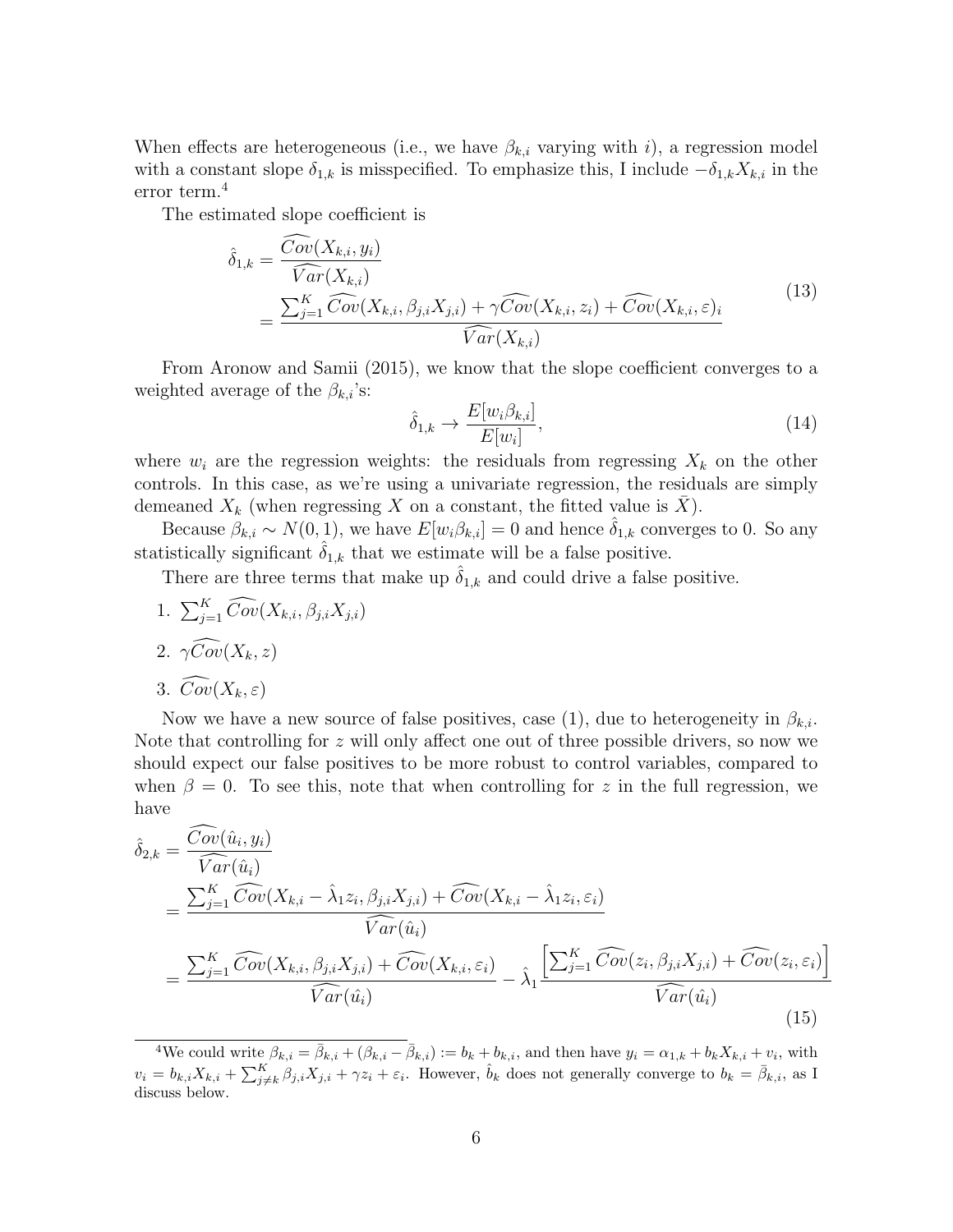When effects are heterogeneous (i.e., we have  $\beta_{k,i}$  varying with i), a regression model with a constant slope  $\delta_{1,k}$  is misspecified. To emphasize this, I include  $-\delta_{1,k}X_{k,i}$  in the error term.<sup>4</sup>

The estimated slope coefficient is

$$
\hat{\delta}_{1,k} = \frac{\widehat{Cov}(X_{k,i}, y_i)}{\widehat{Var}(X_{k,i})}
$$
\n
$$
= \frac{\sum_{j=1}^{K} \widehat{Cov}(X_{k,i}, \beta_{j,i}X_{j,i}) + \gamma \widehat{Cov}(X_{k,i}, z_i) + \widehat{Cov}(X_{k,i}, \varepsilon)_i}{\widehat{Var}(X_{k,i})}
$$
\n(13)

From Aronow and Samii (2015), we know that the slope coefficient converges to a weighted average of the  $\beta_{k,i}$ 's:

$$
\hat{\delta}_{1,k} \to \frac{E[w_i \beta_{k,i}]}{E[w_i]},\tag{14}
$$

where  $w_i$  are the regression weights: the residuals from regressing  $X_k$  on the other controls. In this case, as we're using a univariate regression, the residuals are simply demeaned  $X_k$  (when regressing X on a constant, the fitted value is X).

Because  $\beta_{k,i} \sim N(0, 1)$ , we have  $E[w_i \beta_{k,i}] = 0$  and hence  $\delta_{1,k}$  converges to 0. So any statistically significant  $\hat{\delta}_{1,k}$  that we estimate will be a false positive.

There are three terms that make up  $\hat{\delta}_{1,k}$  and could drive a false positive.

1.  $\sum_{j=1}^{K} \widehat{Cov}(X_{k,i}, \beta_{j,i} X_{j,i})$ 2.  $\gamma \widehat{Cov}(X_k, z)$ 

$$
3. Cov(X_k, \varepsilon)
$$

Now we have a new source of false positives, case (1), due to heterogeneity in  $\beta_{k,i}$ . Note that controlling for z will only affect one out of three possible drivers, so now we should expect our false positives to be more robust to control variables, compared to when  $\beta = 0$ . To see this, note that when controlling for z in the full regression, we have

$$
\hat{\delta}_{2,k} = \frac{\widehat{Cov}(\hat{u}_i, y_i)}{\widehat{Var}(\hat{u}_i)} \n= \frac{\sum_{j=1}^{K} \widehat{Cov}(X_{k,i} - \hat{\lambda}_1 z_i, \beta_{j,i} X_{j,i}) + \widehat{Cov}(X_{k,i} - \hat{\lambda}_1 z_i, \varepsilon_i)}{\widehat{Var}(\hat{u}_i)} \n= \frac{\sum_{j=1}^{K} \widehat{Cov}(X_{k,i}, \beta_{j,i} X_{j,i}) + \widehat{Cov}(X_{k,i}, \varepsilon_i)}{\widehat{Var}(\hat{u}_i)} - \hat{\lambda}_1 \frac{\left[\sum_{j=1}^{K} \widehat{Cov}(z_i, \beta_{j,i} X_{j,i}) + \widehat{Cov}(z_i, \varepsilon_i)\right]}{\widehat{Var}(\hat{u}_i)}
$$
\n(15)

<sup>&</sup>lt;sup>4</sup>We could write  $\beta_{k,i} = \bar{\beta}_{k,i} + (\beta_{k,i} - \bar{\beta}_{k,i}) := b_k + b_{k,i}$ , and then have  $y_i = \alpha_{1,k} + b_k X_{k,i} + v_i$ , with  $v_i = b_{k,i} X_{k,i} + \sum_{j \neq k}^K \beta_{j,i} X_{j,i} + \gamma z_i + \varepsilon_i$ . However,  $\hat{b}_k$  does not generally converge to  $b_k = \bar{\beta}_{k,i}$ , as I discuss below.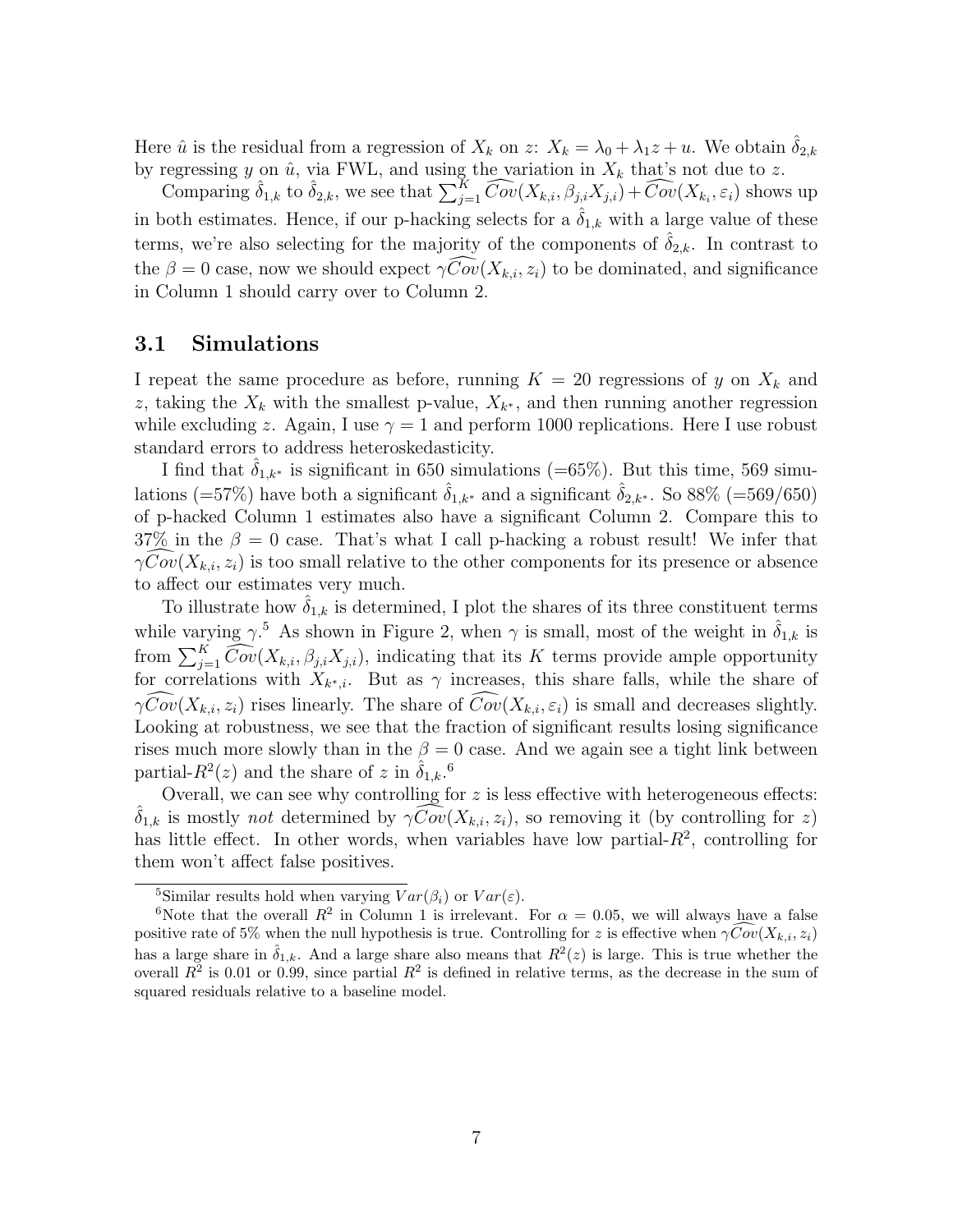Here  $\hat{u}$  is the residual from a regression of  $X_k$  on  $z: X_k = \lambda_0 + \lambda_1 z + u$ . We obtain  $\hat{\delta}_{2,k}$ by regressing y on  $\hat{u}$ , via FWL, and using the variation in  $X_k$  that's not due to z.

Comparing  $\hat{\delta}_{1,k}$  to  $\hat{\delta}_{2,k}$ , we see that  $\sum_{j=1}^{K} \widehat{Cov}(X_{k,i}, \beta_{j,i}X_{j,i}) + \widehat{Cov}(X_{k,i}, \varepsilon_i)$  shows up in both estimates. Hence, if our p-hacking selects for a  $\delta_{1,k}$  with a large value of these terms, we're also selecting for the majority of the components of  $\delta_{2,k}$ . In contrast to the  $\beta = 0$  case, now we should expect  $\gamma Cov(X_{k,i}, z_i)$  to be dominated, and significance in Column 1 should carry over to Column 2.

#### 3.1 Simulations

I repeat the same procedure as before, running  $K = 20$  regressions of y on  $X_k$  and z, taking the  $X_k$  with the smallest p-value,  $X_{k^*}$ , and then running another regression while excluding z. Again, I use  $\gamma = 1$  and perform 1000 replications. Here I use robust standard errors to address heteroskedasticity.

I find that  $\delta_{1,k^*}$  is significant in 650 simulations (=65%). But this time, 569 simulations (=57%) have both a significant  $\delta_{1,k^*}$  and a significant  $\delta_{2,k^*}$ . So 88% (=569/650) of p-hacked Column 1 estimates also have a significant Column 2. Compare this to 37% in the  $\beta = 0$  case. That's what I call p-hacking a robust result! We infer that  $\gamma Cov(X_{k,i}, z_i)$  is too small relative to the other components for its presence or absence to affect our estimates very much.

To illustrate how  $\delta_{1,k}$  is determined, I plot the shares of its three constituent terms while varying  $\gamma$ <sup>5</sup> As shown in Figure 2, when  $\gamma$  is small, most of the weight in  $\hat{\delta}_{1,k}$  is from  $\sum_{j=1}^{K} \widehat{Cov}(X_{k,i}, \beta_{j,i}X_{j,i})$ , indicating that its K terms provide ample opportunity for correlations with  $X_{k^*,i}$ . But as  $\gamma$  increases, this share falls, while the share of  $\gamma\widehat{Cov}(X_{k,i}, z_i)$  rises linearly. The share of  $\widehat{Cov}(X_{k,i}, \varepsilon_i)$  is small and decreases slightly. Looking at robustness, we see that the fraction of significant results losing significance rises much more slowly than in the  $\beta = 0$  case. And we again see a tight link between partial- $R^2(z)$  and the share of z in  $\hat{\delta}_{1,k}$ .<sup>6</sup>

Overall, we can see why controlling for  $z$  is less effective with heterogeneous effects:  $\delta_{1,k}$  is mostly not determined by  $\gamma Cov(X_{k,i}, z_i)$ , so removing it (by controlling for z) has little effect. In other words, when variables have low partial- $R<sup>2</sup>$ , controlling for them won't affect false positives.

<sup>&</sup>lt;sup>5</sup>Similar results hold when varying  $Var(\beta_i)$  or  $Var(\varepsilon)$ .

<sup>&</sup>lt;sup>6</sup>Note that the overall  $R^2$  in Column 1 is irrelevant. For  $\alpha = 0.05$ , we will always have a false positive rate of 5% when the null hypothesis is true. Controlling for z is effective when  $\gamma \overline{Cov}(X_{k,i}, z_i)$ has a large share in  $\hat{\delta}_{1,k}$ . And a large share also means that  $R^2(z)$  is large. This is true whether the overall  $R^2$  is 0.01 or 0.99, since partial  $R^2$  is defined in relative terms, as the decrease in the sum of squared residuals relative to a baseline model.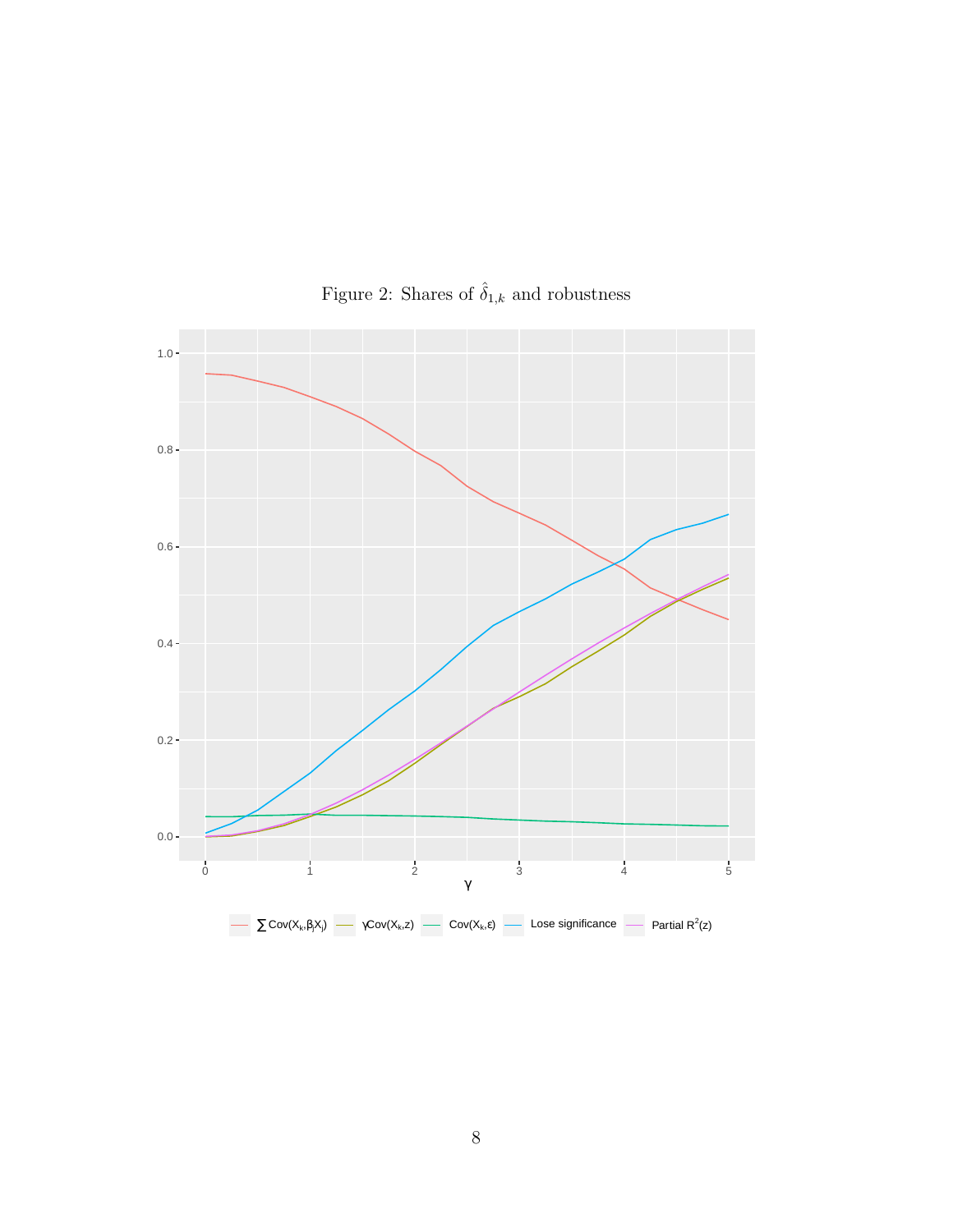

Figure 2: Shares of  $\hat{\delta}_{1,k}$  and robustness